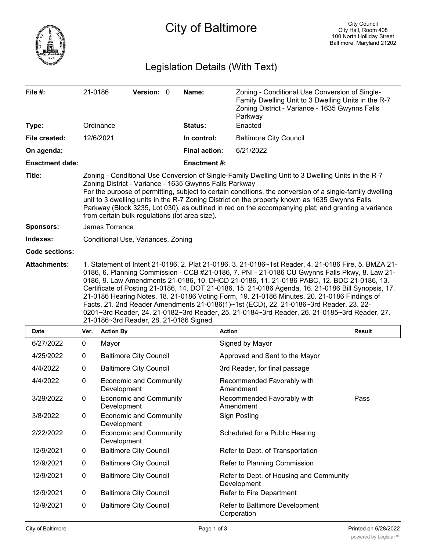

City of Baltimore

# Legislation Details (With Text)

| File #:                | 21-0186                                                                                                                                                                                                                                                                                                                                                                                                                                                                                                                                                                                                                                                                                                                                        |                  | Version: 0                    |  | Name:                | Zoning - Conditional Use Conversion of Single-<br>Family Dwelling Unit to 3 Dwelling Units in the R-7<br>Zoning District - Variance - 1635 Gwynns Falls<br>Parkway |               |
|------------------------|------------------------------------------------------------------------------------------------------------------------------------------------------------------------------------------------------------------------------------------------------------------------------------------------------------------------------------------------------------------------------------------------------------------------------------------------------------------------------------------------------------------------------------------------------------------------------------------------------------------------------------------------------------------------------------------------------------------------------------------------|------------------|-------------------------------|--|----------------------|--------------------------------------------------------------------------------------------------------------------------------------------------------------------|---------------|
| Type:                  |                                                                                                                                                                                                                                                                                                                                                                                                                                                                                                                                                                                                                                                                                                                                                | Ordinance        |                               |  | Status:              | Enacted                                                                                                                                                            |               |
| File created:          |                                                                                                                                                                                                                                                                                                                                                                                                                                                                                                                                                                                                                                                                                                                                                | 12/6/2021        |                               |  | In control:          | <b>Baltimore City Council</b>                                                                                                                                      |               |
| On agenda:             |                                                                                                                                                                                                                                                                                                                                                                                                                                                                                                                                                                                                                                                                                                                                                |                  |                               |  | <b>Final action:</b> | 6/21/2022                                                                                                                                                          |               |
| <b>Enactment date:</b> |                                                                                                                                                                                                                                                                                                                                                                                                                                                                                                                                                                                                                                                                                                                                                |                  |                               |  | <b>Enactment #:</b>  |                                                                                                                                                                    |               |
| Title:                 | Zoning - Conditional Use Conversion of Single-Family Dwelling Unit to 3 Dwelling Units in the R-7<br>Zoning District - Variance - 1635 Gwynns Falls Parkway<br>For the purpose of permitting, subject to certain conditions, the conversion of a single-family dwelling<br>unit to 3 dwelling units in the R-7 Zoning District on the property known as 1635 Gwynns Falls<br>Parkway (Block 3235, Lot 030), as outlined in red on the accompanying plat; and granting a variance<br>from certain bulk regulations (lot area size).                                                                                                                                                                                                             |                  |                               |  |                      |                                                                                                                                                                    |               |
| <b>Sponsors:</b>       | James Torrence                                                                                                                                                                                                                                                                                                                                                                                                                                                                                                                                                                                                                                                                                                                                 |                  |                               |  |                      |                                                                                                                                                                    |               |
| Indexes:               | Conditional Use, Variances, Zoning                                                                                                                                                                                                                                                                                                                                                                                                                                                                                                                                                                                                                                                                                                             |                  |                               |  |                      |                                                                                                                                                                    |               |
| <b>Code sections:</b>  |                                                                                                                                                                                                                                                                                                                                                                                                                                                                                                                                                                                                                                                                                                                                                |                  |                               |  |                      |                                                                                                                                                                    |               |
| <b>Attachments:</b>    | 1. Statement of Intent 21-0186, 2. Plat 21-0186, 3. 21-0186~1st Reader, 4. 21-0186 Fire, 5. BMZA 21-<br>0186, 6. Planning Commission - CCB #21-0186, 7. PNI - 21-0186 CU Gwynns Falls Pkwy, 8. Law 21-<br>0186, 9. Law Amendments 21-0186, 10. DHCD 21-0186, 11. 21-0186 PABC, 12. BDC 21-0186, 13.<br>Certificate of Posting 21-0186, 14. DOT 21-0186, 15. 21-0186 Agenda, 16. 21-0186 Bill Synopsis, 17.<br>21-0186 Hearing Notes, 18. 21-0186 Voting Form, 19. 21-0186 Minutes, 20. 21-0186 Findings of<br>Facts, 21. 2nd Reader Amendments 21-0186(1)~1st (ECD), 22. 21-0186~3rd Reader, 23. 22-<br>0201~3rd Reader, 24. 21-0182~3rd Reader, 25. 21-0184~3rd Reader, 26. 21-0185~3rd Reader, 27.<br>21-0186~3rd Reader, 28. 21-0186 Signed |                  |                               |  |                      |                                                                                                                                                                    |               |
| Date                   | Ver.                                                                                                                                                                                                                                                                                                                                                                                                                                                                                                                                                                                                                                                                                                                                           | <b>Action By</b> |                               |  | <b>Action</b>        |                                                                                                                                                                    | <b>Result</b> |
| 6/27/2022              | 0                                                                                                                                                                                                                                                                                                                                                                                                                                                                                                                                                                                                                                                                                                                                              | Mayor            |                               |  |                      | Signed by Mayor                                                                                                                                                    |               |
| 4/25/2022              | 0                                                                                                                                                                                                                                                                                                                                                                                                                                                                                                                                                                                                                                                                                                                                              |                  | <b>Baltimore City Council</b> |  |                      | Approved and Sent to the Mayor                                                                                                                                     |               |
| 4/4/2022               | 0                                                                                                                                                                                                                                                                                                                                                                                                                                                                                                                                                                                                                                                                                                                                              |                  | <b>Baltimore City Council</b> |  |                      | 3rd Reader, for final passage                                                                                                                                      |               |
| 4/4/2022               | 0                                                                                                                                                                                                                                                                                                                                                                                                                                                                                                                                                                                                                                                                                                                                              | Development      | <b>Economic and Community</b> |  |                      | Recommended Favorably with<br>Amendment                                                                                                                            |               |
| 3/29/2022              | 0                                                                                                                                                                                                                                                                                                                                                                                                                                                                                                                                                                                                                                                                                                                                              | Development      | <b>Economic and Community</b> |  |                      | Recommended Favorably with<br>Amendment                                                                                                                            | Pass          |
| 3/8/2022               | 0                                                                                                                                                                                                                                                                                                                                                                                                                                                                                                                                                                                                                                                                                                                                              | Development      | <b>Economic and Community</b> |  |                      | <b>Sign Posting</b>                                                                                                                                                |               |
| 2/22/2022              | 0                                                                                                                                                                                                                                                                                                                                                                                                                                                                                                                                                                                                                                                                                                                                              | Development      | <b>Economic and Community</b> |  |                      | Scheduled for a Public Hearing                                                                                                                                     |               |
| 12/9/2021              | 0                                                                                                                                                                                                                                                                                                                                                                                                                                                                                                                                                                                                                                                                                                                                              |                  | <b>Baltimore City Council</b> |  |                      | Refer to Dept. of Transportation                                                                                                                                   |               |
| 12/9/2021              | 0                                                                                                                                                                                                                                                                                                                                                                                                                                                                                                                                                                                                                                                                                                                                              |                  | <b>Baltimore City Council</b> |  |                      | Refer to Planning Commission                                                                                                                                       |               |
| 12/9/2021              | 0                                                                                                                                                                                                                                                                                                                                                                                                                                                                                                                                                                                                                                                                                                                                              |                  | <b>Baltimore City Council</b> |  |                      | Refer to Dept. of Housing and Community<br>Development                                                                                                             |               |
| 12/9/2021              | 0                                                                                                                                                                                                                                                                                                                                                                                                                                                                                                                                                                                                                                                                                                                                              |                  | <b>Baltimore City Council</b> |  |                      | Refer to Fire Department                                                                                                                                           |               |
| 12/9/2021              |                                                                                                                                                                                                                                                                                                                                                                                                                                                                                                                                                                                                                                                                                                                                                |                  |                               |  |                      |                                                                                                                                                                    |               |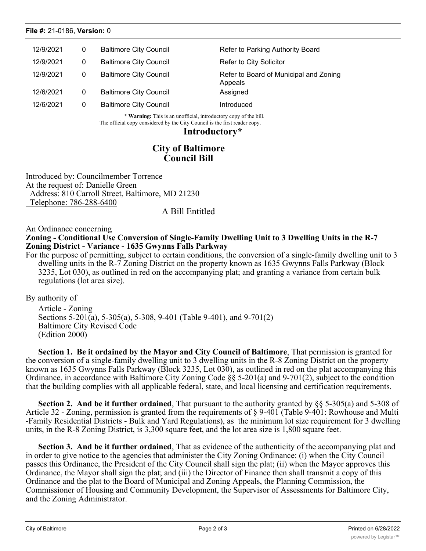| 12/9/2021 | 0 | <b>Baltimore City Council</b> | Refer to Parking Authority Board                  |
|-----------|---|-------------------------------|---------------------------------------------------|
| 12/9/2021 | 0 | <b>Baltimore City Council</b> | Refer to City Solicitor                           |
| 12/9/2021 | 0 | <b>Baltimore City Council</b> | Refer to Board of Municipal and Zoning<br>Appeals |
| 12/6/2021 | 0 | <b>Baltimore City Council</b> | Assigned                                          |
| 12/6/2021 |   | <b>Baltimore City Council</b> | Introduced                                        |

**\* Warning:** This is an unofficial, introductory copy of the bill. The official copy considered by the City Council is the first reader copy.

### **Introductory\***

## **City of Baltimore Council Bill**

Introduced by: Councilmember Torrence At the request of: Danielle Green Address: 810 Carroll Street, Baltimore, MD 21230 Telephone: 786-288-6400

## A Bill Entitled

#### An Ordinance concerning **Zoning - Conditional Use Conversion of Single-Family Dwelling Unit to 3 Dwelling Units in the R-7 Zoning District - Variance - 1635 Gwynns Falls Parkway**

For the purpose of permitting, subject to certain conditions, the conversion of a single-family dwelling unit to 3 dwelling units in the R-7 Zoning District on the property known as 1635 Gwynns Falls Parkway (Block 3235, Lot 030), as outlined in red on the accompanying plat; and granting a variance from certain bulk regulations (lot area size).

By authority of

Article - Zoning Sections 5-201(a), 5-305(a), 5-308, 9-401 (Table 9-401), and 9-701(2) Baltimore City Revised Code (Edition 2000)

**Section 1. Be it ordained by the Mayor and City Council of Baltimore**, That permission is granted for the conversion of a single-family dwelling unit to 3 dwelling units in the R-8 Zoning District on the property known as 1635 Gwynns Falls Parkway (Block 3235, Lot 030), as outlined in red on the plat accompanying this Ordinance, in accordance with Baltimore City Zoning Code §§ 5-201(a) and 9-701(2), subject to the condition that the building complies with all applicable federal, state, and local licensing and certification requirements.

**Section 2. And be it further ordained**, That pursuant to the authority granted by §§ 5-305(a) and 5-308 of Article 32 - Zoning, permission is granted from the requirements of § 9-401 (Table 9-401: Rowhouse and Multi -Family Residential Districts - Bulk and Yard Regulations), as the minimum lot size requirement for 3 dwelling units, in the R-8 Zoning District, is 3,300 square feet, and the lot area size is 1,800 square feet.

**Section 3. And be it further ordained**, That as evidence of the authenticity of the accompanying plat and in order to give notice to the agencies that administer the City Zoning Ordinance: (i) when the City Council passes this Ordinance, the President of the City Council shall sign the plat; (ii) when the Mayor approves this Ordinance, the Mayor shall sign the plat; and (iii) the Director of Finance then shall transmit a copy of this Ordinance and the plat to the Board of Municipal and Zoning Appeals, the Planning Commission, the Commissioner of Housing and Community Development, the Supervisor of Assessments for Baltimore City, and the Zoning Administrator.